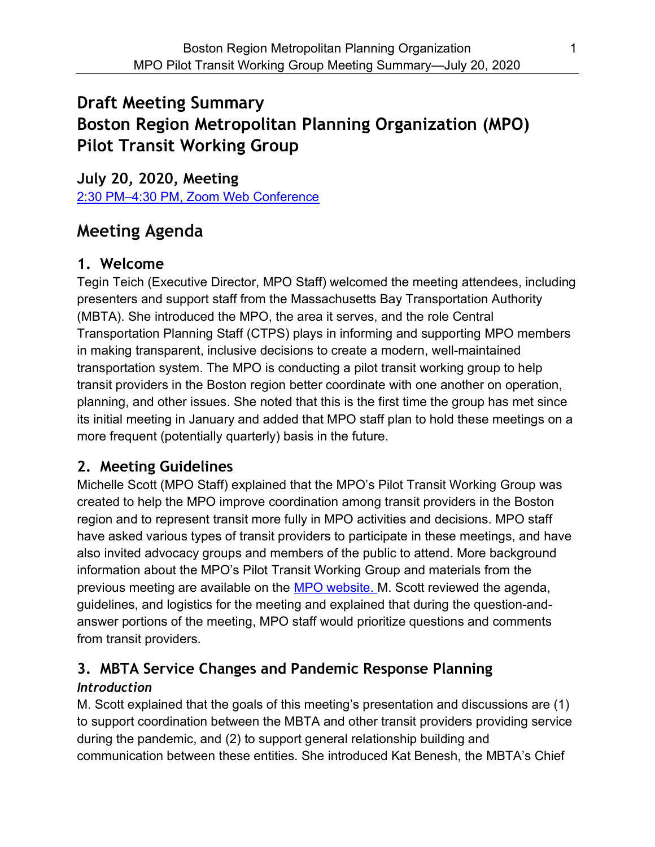# Draft Meeting Summary Boston Region Metropolitan Planning Organization (MPO) Pilot Transit Working Group

July 20, 2020, Meeting 2:30 PM–4:30 PM, Zoom Web Conference

# Meeting Agenda

# 1. Welcome

Tegin Teich (Executive Director, MPO Staff) welcomed the meeting attendees, including presenters and support staff from the Massachusetts Bay Transportation Authority (MBTA). She introduced the MPO, the area it serves, and the role Central Transportation Planning Staff (CTPS) plays in informing and supporting MPO members in making transparent, inclusive decisions to create a modern, well-maintained transportation system. The MPO is conducting a pilot transit working group to help transit providers in the Boston region better coordinate with one another on operation, planning, and other issues. She noted that this is the first time the group has met since its initial meeting in January and added that MPO staff plan to hold these meetings on a more frequent (potentially quarterly) basis in the future.

# 2. Meeting Guidelines

Michelle Scott (MPO Staff) explained that the MPO's Pilot Transit Working Group was created to help the MPO improve coordination among transit providers in the Boston region and to represent transit more fully in MPO activities and decisions. MPO staff have asked various types of transit providers to participate in these meetings, and have also invited advocacy groups and members of the public to attend. More background information about the MPO's Pilot Transit Working Group and materials from the previous meeting are available on the MPO website. M. Scott reviewed the agenda, guidelines, and logistics for the meeting and explained that during the question-andanswer portions of the meeting, MPO staff would prioritize questions and comments from transit providers.

## 3. MBTA Service Changes and Pandemic Response Planning **Introduction**

M. Scott explained that the goals of this meeting's presentation and discussions are (1) to support coordination between the MBTA and other transit providers providing service during the pandemic, and (2) to support general relationship building and communication between these entities. She introduced Kat Benesh, the MBTA's Chief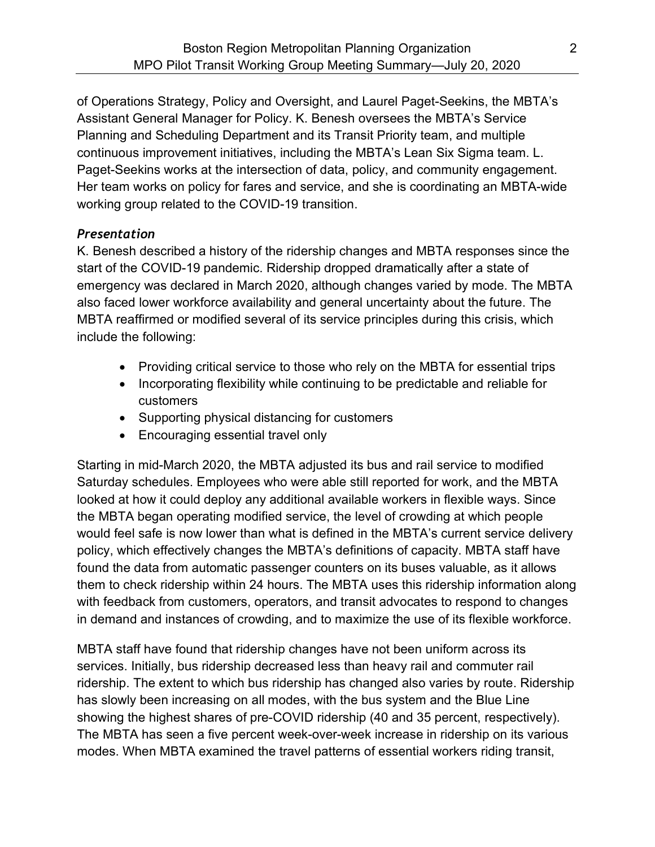of Operations Strategy, Policy and Oversight, and Laurel Paget-Seekins, the MBTA's Assistant General Manager for Policy. K. Benesh oversees the MBTA's Service Planning and Scheduling Department and its Transit Priority team, and multiple continuous improvement initiatives, including the MBTA's Lean Six Sigma team. L. Paget-Seekins works at the intersection of data, policy, and community engagement. Her team works on policy for fares and service, and she is coordinating an MBTA-wide working group related to the COVID-19 transition.

### Presentation

K. Benesh described a history of the ridership changes and MBTA responses since the start of the COVID-19 pandemic. Ridership dropped dramatically after a state of emergency was declared in March 2020, although changes varied by mode. The MBTA also faced lower workforce availability and general uncertainty about the future. The MBTA reaffirmed or modified several of its service principles during this crisis, which include the following:

- Providing critical service to those who rely on the MBTA for essential trips
- Incorporating flexibility while continuing to be predictable and reliable for customers
- Supporting physical distancing for customers
- Encouraging essential travel only

Starting in mid-March 2020, the MBTA adjusted its bus and rail service to modified Saturday schedules. Employees who were able still reported for work, and the MBTA looked at how it could deploy any additional available workers in flexible ways. Since the MBTA began operating modified service, the level of crowding at which people would feel safe is now lower than what is defined in the MBTA's current service delivery policy, which effectively changes the MBTA's definitions of capacity. MBTA staff have found the data from automatic passenger counters on its buses valuable, as it allows them to check ridership within 24 hours. The MBTA uses this ridership information along with feedback from customers, operators, and transit advocates to respond to changes in demand and instances of crowding, and to maximize the use of its flexible workforce.

MBTA staff have found that ridership changes have not been uniform across its services. Initially, bus ridership decreased less than heavy rail and commuter rail ridership. The extent to which bus ridership has changed also varies by route. Ridership has slowly been increasing on all modes, with the bus system and the Blue Line showing the highest shares of pre-COVID ridership (40 and 35 percent, respectively). The MBTA has seen a five percent week-over-week increase in ridership on its various modes. When MBTA examined the travel patterns of essential workers riding transit,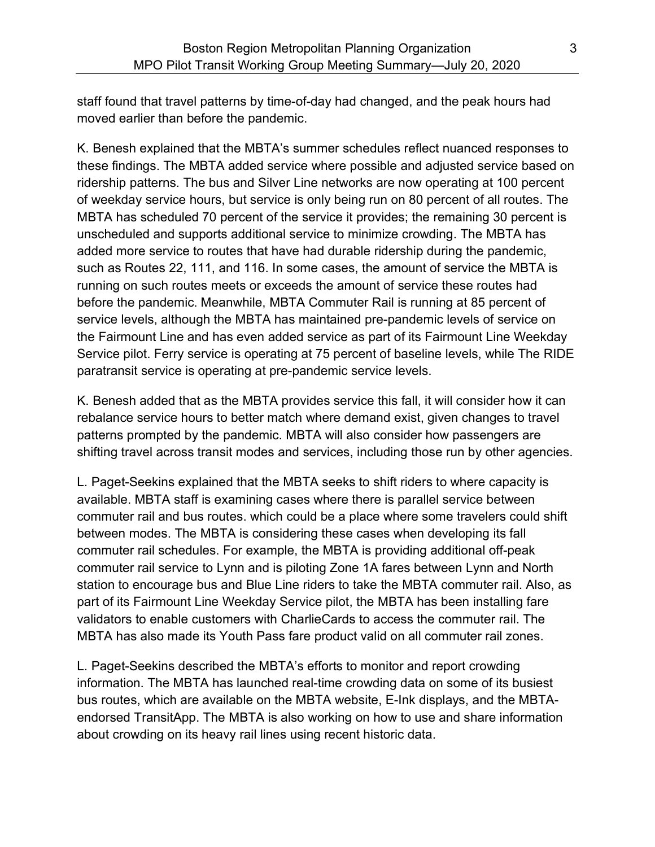staff found that travel patterns by time-of-day had changed, and the peak hours had moved earlier than before the pandemic.

K. Benesh explained that the MBTA's summer schedules reflect nuanced responses to these findings. The MBTA added service where possible and adjusted service based on ridership patterns. The bus and Silver Line networks are now operating at 100 percent of weekday service hours, but service is only being run on 80 percent of all routes. The MBTA has scheduled 70 percent of the service it provides; the remaining 30 percent is unscheduled and supports additional service to minimize crowding. The MBTA has added more service to routes that have had durable ridership during the pandemic, such as Routes 22, 111, and 116. In some cases, the amount of service the MBTA is running on such routes meets or exceeds the amount of service these routes had before the pandemic. Meanwhile, MBTA Commuter Rail is running at 85 percent of service levels, although the MBTA has maintained pre-pandemic levels of service on the Fairmount Line and has even added service as part of its Fairmount Line Weekday Service pilot. Ferry service is operating at 75 percent of baseline levels, while The RIDE paratransit service is operating at pre-pandemic service levels.

K. Benesh added that as the MBTA provides service this fall, it will consider how it can rebalance service hours to better match where demand exist, given changes to travel patterns prompted by the pandemic. MBTA will also consider how passengers are shifting travel across transit modes and services, including those run by other agencies.

L. Paget-Seekins explained that the MBTA seeks to shift riders to where capacity is available. MBTA staff is examining cases where there is parallel service between commuter rail and bus routes. which could be a place where some travelers could shift between modes. The MBTA is considering these cases when developing its fall commuter rail schedules. For example, the MBTA is providing additional off-peak commuter rail service to Lynn and is piloting Zone 1A fares between Lynn and North station to encourage bus and Blue Line riders to take the MBTA commuter rail. Also, as part of its Fairmount Line Weekday Service pilot, the MBTA has been installing fare validators to enable customers with CharlieCards to access the commuter rail. The MBTA has also made its Youth Pass fare product valid on all commuter rail zones.

L. Paget-Seekins described the MBTA's efforts to monitor and report crowding information. The MBTA has launched real-time crowding data on some of its busiest bus routes, which are available on the MBTA website, E-Ink displays, and the MBTAendorsed TransitApp. The MBTA is also working on how to use and share information about crowding on its heavy rail lines using recent historic data.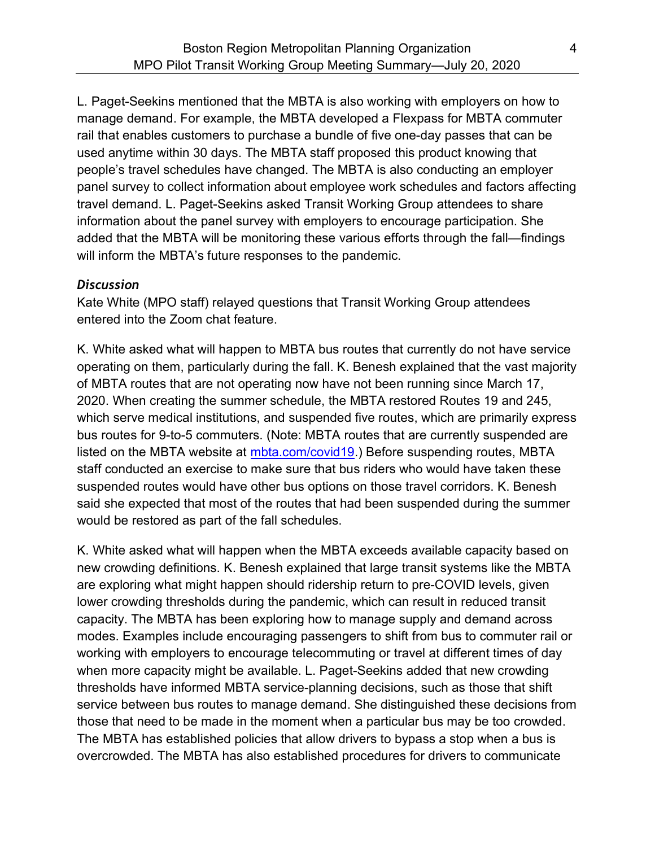L. Paget-Seekins mentioned that the MBTA is also working with employers on how to manage demand. For example, the MBTA developed a Flexpass for MBTA commuter rail that enables customers to purchase a bundle of five one-day passes that can be used anytime within 30 days. The MBTA staff proposed this product knowing that people's travel schedules have changed. The MBTA is also conducting an employer panel survey to collect information about employee work schedules and factors affecting travel demand. L. Paget-Seekins asked Transit Working Group attendees to share information about the panel survey with employers to encourage participation. She added that the MBTA will be monitoring these various efforts through the fall—findings will inform the MBTA's future responses to the pandemic.

#### **Discussion**

Kate White (MPO staff) relayed questions that Transit Working Group attendees entered into the Zoom chat feature.

K. White asked what will happen to MBTA bus routes that currently do not have service operating on them, particularly during the fall. K. Benesh explained that the vast majority of MBTA routes that are not operating now have not been running since March 17, 2020. When creating the summer schedule, the MBTA restored Routes 19 and 245, which serve medical institutions, and suspended five routes, which are primarily express bus routes for 9-to-5 commuters. (Note: MBTA routes that are currently suspended are listed on the MBTA website at mbta.com/covid19.) Before suspending routes, MBTA staff conducted an exercise to make sure that bus riders who would have taken these suspended routes would have other bus options on those travel corridors. K. Benesh said she expected that most of the routes that had been suspended during the summer would be restored as part of the fall schedules.

K. White asked what will happen when the MBTA exceeds available capacity based on new crowding definitions. K. Benesh explained that large transit systems like the MBTA are exploring what might happen should ridership return to pre-COVID levels, given lower crowding thresholds during the pandemic, which can result in reduced transit capacity. The MBTA has been exploring how to manage supply and demand across modes. Examples include encouraging passengers to shift from bus to commuter rail or working with employers to encourage telecommuting or travel at different times of day when more capacity might be available. L. Paget-Seekins added that new crowding thresholds have informed MBTA service-planning decisions, such as those that shift service between bus routes to manage demand. She distinguished these decisions from those that need to be made in the moment when a particular bus may be too crowded. The MBTA has established policies that allow drivers to bypass a stop when a bus is overcrowded. The MBTA has also established procedures for drivers to communicate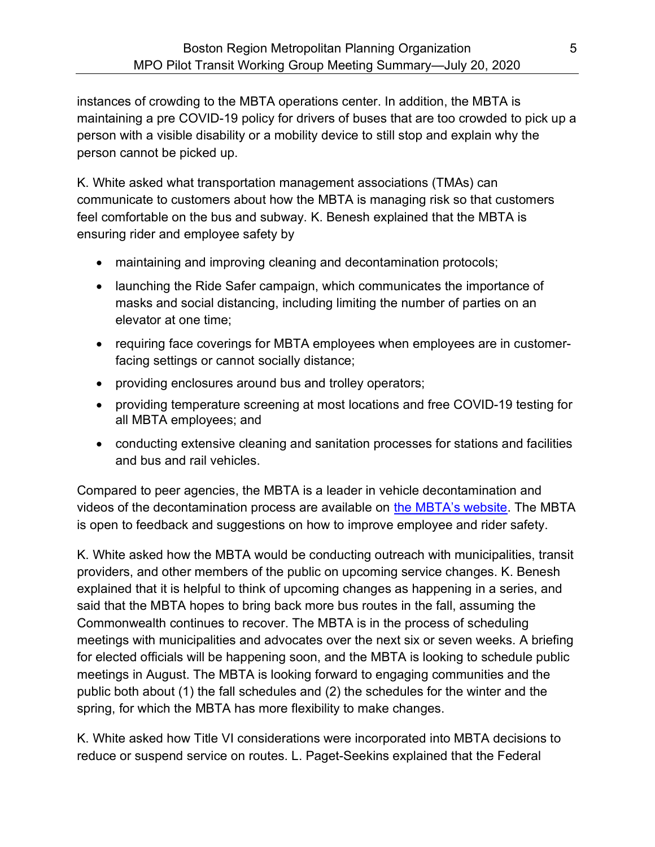instances of crowding to the MBTA operations center. In addition, the MBTA is maintaining a pre COVID-19 policy for drivers of buses that are too crowded to pick up a person with a visible disability or a mobility device to still stop and explain why the person cannot be picked up.

K. White asked what transportation management associations (TMAs) can communicate to customers about how the MBTA is managing risk so that customers feel comfortable on the bus and subway. K. Benesh explained that the MBTA is ensuring rider and employee safety by

- maintaining and improving cleaning and decontamination protocols;
- launching the Ride Safer campaign, which communicates the importance of masks and social distancing, including limiting the number of parties on an elevator at one time;
- requiring face coverings for MBTA employees when employees are in customerfacing settings or cannot socially distance;
- providing enclosures around bus and trolley operators;
- providing temperature screening at most locations and free COVID-19 testing for all MBTA employees; and
- conducting extensive cleaning and sanitation processes for stations and facilities and bus and rail vehicles.

Compared to peer agencies, the MBTA is a leader in vehicle decontamination and videos of the decontamination process are available on the MBTA's website. The MBTA is open to feedback and suggestions on how to improve employee and rider safety.

K. White asked how the MBTA would be conducting outreach with municipalities, transit providers, and other members of the public on upcoming service changes. K. Benesh explained that it is helpful to think of upcoming changes as happening in a series, and said that the MBTA hopes to bring back more bus routes in the fall, assuming the Commonwealth continues to recover. The MBTA is in the process of scheduling meetings with municipalities and advocates over the next six or seven weeks. A briefing for elected officials will be happening soon, and the MBTA is looking to schedule public meetings in August. The MBTA is looking forward to engaging communities and the public both about (1) the fall schedules and (2) the schedules for the winter and the spring, for which the MBTA has more flexibility to make changes.

K. White asked how Title VI considerations were incorporated into MBTA decisions to reduce or suspend service on routes. L. Paget-Seekins explained that the Federal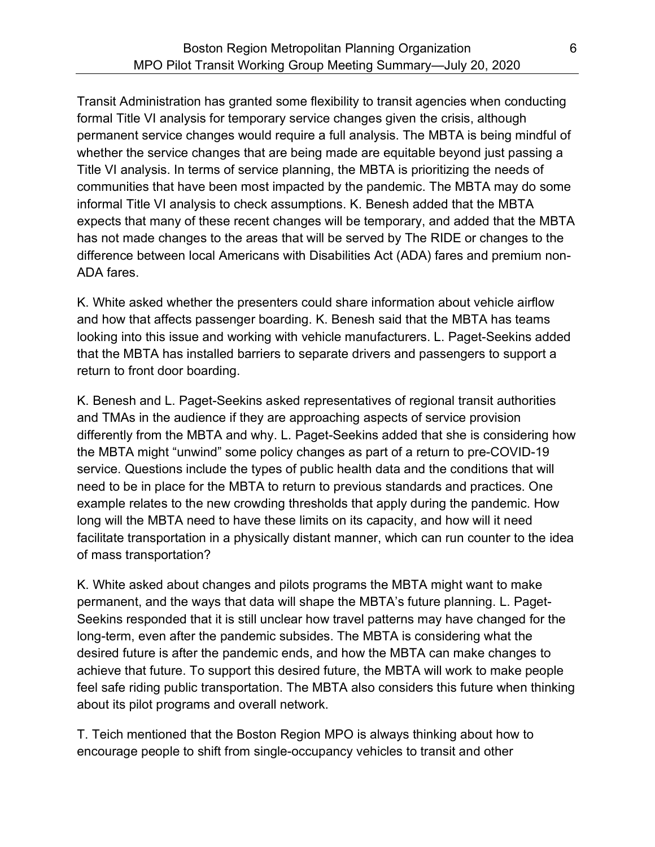Transit Administration has granted some flexibility to transit agencies when conducting formal Title VI analysis for temporary service changes given the crisis, although permanent service changes would require a full analysis. The MBTA is being mindful of whether the service changes that are being made are equitable beyond just passing a Title VI analysis. In terms of service planning, the MBTA is prioritizing the needs of communities that have been most impacted by the pandemic. The MBTA may do some informal Title VI analysis to check assumptions. K. Benesh added that the MBTA expects that many of these recent changes will be temporary, and added that the MBTA has not made changes to the areas that will be served by The RIDE or changes to the difference between local Americans with Disabilities Act (ADA) fares and premium non-ADA fares.

K. White asked whether the presenters could share information about vehicle airflow and how that affects passenger boarding. K. Benesh said that the MBTA has teams looking into this issue and working with vehicle manufacturers. L. Paget-Seekins added that the MBTA has installed barriers to separate drivers and passengers to support a return to front door boarding.

K. Benesh and L. Paget-Seekins asked representatives of regional transit authorities and TMAs in the audience if they are approaching aspects of service provision differently from the MBTA and why. L. Paget-Seekins added that she is considering how the MBTA might "unwind" some policy changes as part of a return to pre-COVID-19 service. Questions include the types of public health data and the conditions that will need to be in place for the MBTA to return to previous standards and practices. One example relates to the new crowding thresholds that apply during the pandemic. How long will the MBTA need to have these limits on its capacity, and how will it need facilitate transportation in a physically distant manner, which can run counter to the idea of mass transportation?

K. White asked about changes and pilots programs the MBTA might want to make permanent, and the ways that data will shape the MBTA's future planning. L. Paget-Seekins responded that it is still unclear how travel patterns may have changed for the long-term, even after the pandemic subsides. The MBTA is considering what the desired future is after the pandemic ends, and how the MBTA can make changes to achieve that future. To support this desired future, the MBTA will work to make people feel safe riding public transportation. The MBTA also considers this future when thinking about its pilot programs and overall network.

T. Teich mentioned that the Boston Region MPO is always thinking about how to encourage people to shift from single-occupancy vehicles to transit and other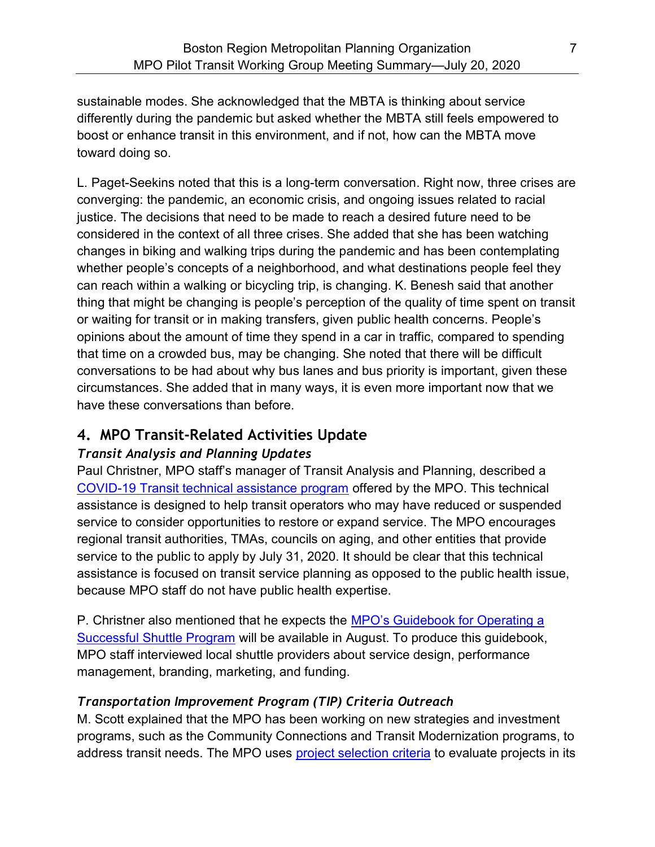sustainable modes. She acknowledged that the MBTA is thinking about service differently during the pandemic but asked whether the MBTA still feels empowered to boost or enhance transit in this environment, and if not, how can the MBTA move toward doing so.

L. Paget-Seekins noted that this is a long-term conversation. Right now, three crises are converging: the pandemic, an economic crisis, and ongoing issues related to racial justice. The decisions that need to be made to reach a desired future need to be considered in the context of all three crises. She added that she has been watching changes in biking and walking trips during the pandemic and has been contemplating whether people's concepts of a neighborhood, and what destinations people feel they can reach within a walking or bicycling trip, is changing. K. Benesh said that another thing that might be changing is people's perception of the quality of time spent on transit or waiting for transit or in making transfers, given public health concerns. People's opinions about the amount of time they spend in a car in traffic, compared to spending that time on a crowded bus, may be changing. She noted that there will be difficult conversations to be had about why bus lanes and bus priority is important, given these circumstances. She added that in many ways, it is even more important now that we have these conversations than before.

## 4. MPO Transit-Related Activities Update

## Transit Analysis and Planning Updates

Paul Christner, MPO staff's manager of Transit Analysis and Planning, described a COVID-19 Transit technical assistance program offered by the MPO. This technical assistance is designed to help transit operators who may have reduced or suspended service to consider opportunities to restore or expand service. The MPO encourages regional transit authorities, TMAs, councils on aging, and other entities that provide service to the public to apply by July 31, 2020. It should be clear that this technical assistance is focused on transit service planning as opposed to the public health issue, because MPO staff do not have public health expertise.

P. Christner also mentioned that he expects the MPO's Guidebook for Operating a Successful Shuttle Program will be available in August. To produce this guidebook, MPO staff interviewed local shuttle providers about service design, performance management, branding, marketing, and funding.

## Transportation Improvement Program (TIP) Criteria Outreach

M. Scott explained that the MPO has been working on new strategies and investment programs, such as the Community Connections and Transit Modernization programs, to address transit needs. The MPO uses project selection criteria to evaluate projects in its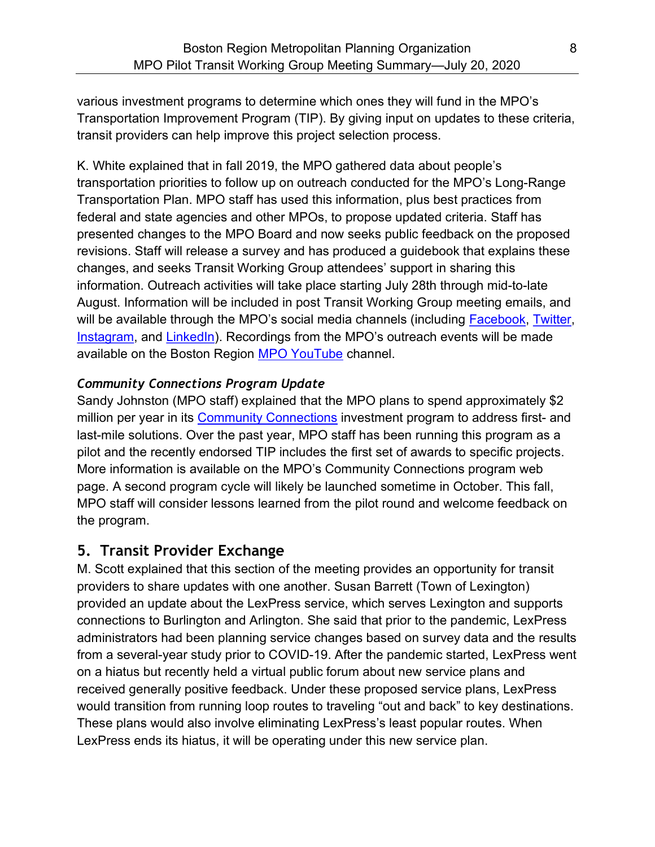various investment programs to determine which ones they will fund in the MPO's Transportation Improvement Program (TIP). By giving input on updates to these criteria, transit providers can help improve this project selection process.

K. White explained that in fall 2019, the MPO gathered data about people's transportation priorities to follow up on outreach conducted for the MPO's Long-Range Transportation Plan. MPO staff has used this information, plus best practices from federal and state agencies and other MPOs, to propose updated criteria. Staff has presented changes to the MPO Board and now seeks public feedback on the proposed revisions. Staff will release a survey and has produced a guidebook that explains these changes, and seeks Transit Working Group attendees' support in sharing this information. Outreach activities will take place starting July 28th through mid-to-late August. Information will be included in post Transit Working Group meeting emails, and will be available through the MPO's social media channels (including Facebook, Twitter, Instagram, and LinkedIn). Recordings from the MPO's outreach events will be made available on the Boston Region MPO YouTube channel.

### Community Connections Program Update

Sandy Johnston (MPO staff) explained that the MPO plans to spend approximately \$2 million per year in its Community Connections investment program to address first- and last-mile solutions. Over the past year, MPO staff has been running this program as a pilot and the recently endorsed TIP includes the first set of awards to specific projects. More information is available on the MPO's Community Connections program web page. A second program cycle will likely be launched sometime in October. This fall, MPO staff will consider lessons learned from the pilot round and welcome feedback on the program.

### 5. Transit Provider Exchange

M. Scott explained that this section of the meeting provides an opportunity for transit providers to share updates with one another. Susan Barrett (Town of Lexington) provided an update about the LexPress service, which serves Lexington and supports connections to Burlington and Arlington. She said that prior to the pandemic, LexPress administrators had been planning service changes based on survey data and the results from a several-year study prior to COVID-19. After the pandemic started, LexPress went on a hiatus but recently held a virtual public forum about new service plans and received generally positive feedback. Under these proposed service plans, LexPress would transition from running loop routes to traveling "out and back" to key destinations. These plans would also involve eliminating LexPress's least popular routes. When LexPress ends its hiatus, it will be operating under this new service plan.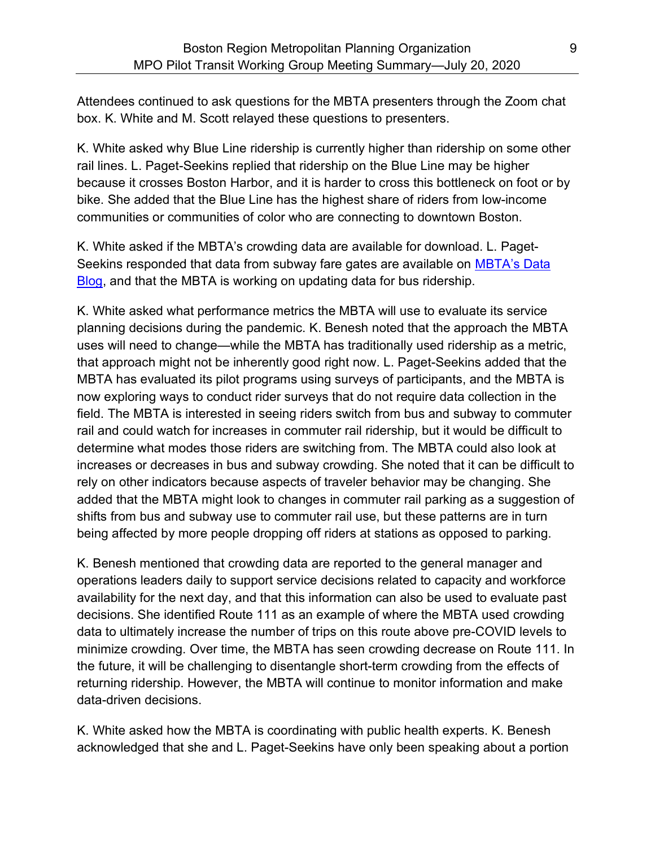Attendees continued to ask questions for the MBTA presenters through the Zoom chat box. K. White and M. Scott relayed these questions to presenters.

K. White asked why Blue Line ridership is currently higher than ridership on some other rail lines. L. Paget-Seekins replied that ridership on the Blue Line may be higher because it crosses Boston Harbor, and it is harder to cross this bottleneck on foot or by bike. She added that the Blue Line has the highest share of riders from low-income communities or communities of color who are connecting to downtown Boston.

K. White asked if the MBTA's crowding data are available for download. L. Paget-Seekins responded that data from subway fare gates are available on MBTA's Data **Blog, and that the MBTA is working on updating data for bus ridership.** 

K. White asked what performance metrics the MBTA will use to evaluate its service planning decisions during the pandemic. K. Benesh noted that the approach the MBTA uses will need to change—while the MBTA has traditionally used ridership as a metric, that approach might not be inherently good right now. L. Paget-Seekins added that the MBTA has evaluated its pilot programs using surveys of participants, and the MBTA is now exploring ways to conduct rider surveys that do not require data collection in the field. The MBTA is interested in seeing riders switch from bus and subway to commuter rail and could watch for increases in commuter rail ridership, but it would be difficult to determine what modes those riders are switching from. The MBTA could also look at increases or decreases in bus and subway crowding. She noted that it can be difficult to rely on other indicators because aspects of traveler behavior may be changing. She added that the MBTA might look to changes in commuter rail parking as a suggestion of shifts from bus and subway use to commuter rail use, but these patterns are in turn being affected by more people dropping off riders at stations as opposed to parking.

K. Benesh mentioned that crowding data are reported to the general manager and operations leaders daily to support service decisions related to capacity and workforce availability for the next day, and that this information can also be used to evaluate past decisions. She identified Route 111 as an example of where the MBTA used crowding data to ultimately increase the number of trips on this route above pre-COVID levels to minimize crowding. Over time, the MBTA has seen crowding decrease on Route 111. In the future, it will be challenging to disentangle short-term crowding from the effects of returning ridership. However, the MBTA will continue to monitor information and make data-driven decisions.

K. White asked how the MBTA is coordinating with public health experts. K. Benesh acknowledged that she and L. Paget-Seekins have only been speaking about a portion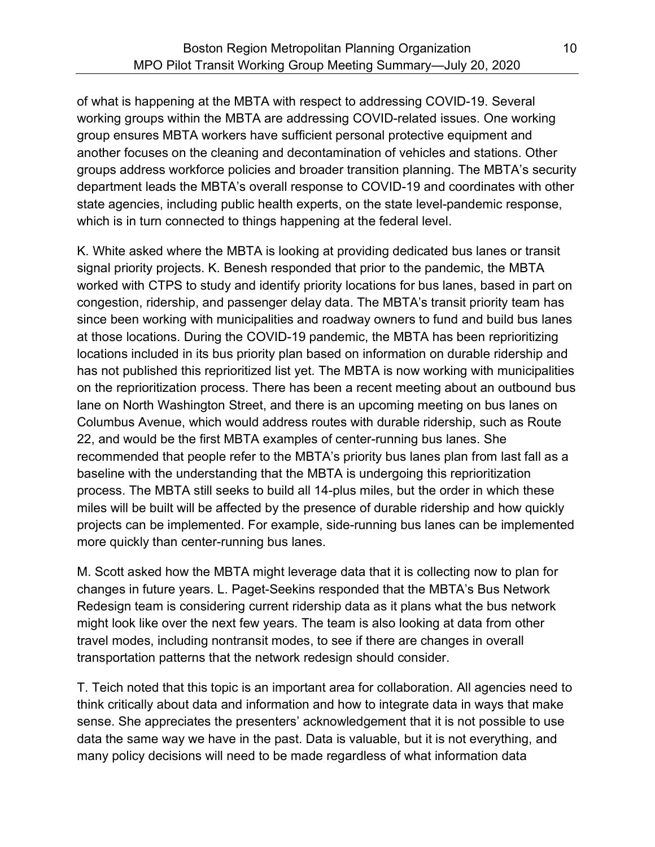of what is happening at the MBTA with respect to addressing COVID-19. Several working groups within the MBTA are addressing COVID-related issues. One working group ensures MBTA workers have sufficient personal protective equipment and another focuses on the cleaning and decontamination of vehicles and stations. Other groups address workforce policies and broader transition planning. The MBTA's security department leads the MBTA's overall response to COVID-19 and coordinates with other state agencies, including public health experts, on the state level-pandemic response, which is in turn connected to things happening at the federal level.

K. White asked where the MBTA is looking at providing dedicated bus lanes or transit signal priority projects. K. Benesh responded that prior to the pandemic, the MBTA worked with CTPS to study and identify priority locations for bus lanes, based in part on congestion, ridership, and passenger delay data. The MBTA's transit priority team has since been working with municipalities and roadway owners to fund and build bus lanes at those locations. During the COVID-19 pandemic, the MBTA has been reprioritizing locations included in its bus priority plan based on information on durable ridership and has not published this reprioritized list yet. The MBTA is now working with municipalities on the reprioritization process. There has been a recent meeting about an outbound bus lane on North Washington Street, and there is an upcoming meeting on bus lanes on Columbus Avenue, which would address routes with durable ridership, such as Route 22, and would be the first MBTA examples of center-running bus lanes. She recommended that people refer to the MBTA's priority bus lanes plan from last fall as a baseline with the understanding that the MBTA is undergoing this reprioritization process. The MBTA still seeks to build all 14-plus miles, but the order in which these miles will be built will be affected by the presence of durable ridership and how quickly projects can be implemented. For example, side-running bus lanes can be implemented more quickly than center-running bus lanes.

M. Scott asked how the MBTA might leverage data that it is collecting now to plan for changes in future years. L. Paget-Seekins responded that the MBTA's Bus Network Redesign team is considering current ridership data as it plans what the bus network might look like over the next few years. The team is also looking at data from other travel modes, including nontransit modes, to see if there are changes in overall transportation patterns that the network redesign should consider.

T. Teich noted that this topic is an important area for collaboration. All agencies need to think critically about data and information and how to integrate data in ways that make sense. She appreciates the presenters' acknowledgement that it is not possible to use data the same way we have in the past. Data is valuable, but it is not everything, and many policy decisions will need to be made regardless of what information data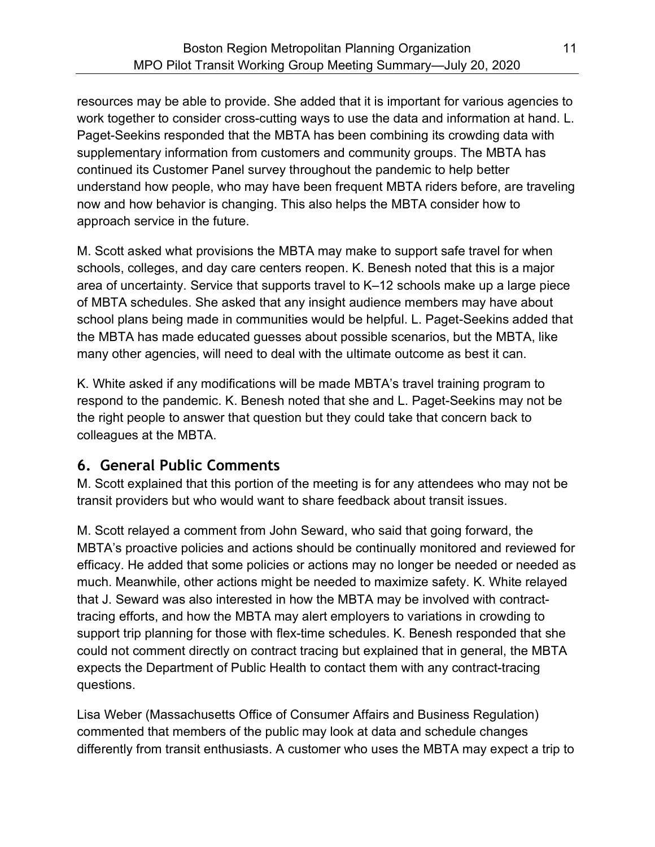resources may be able to provide. She added that it is important for various agencies to work together to consider cross-cutting ways to use the data and information at hand. L. Paget-Seekins responded that the MBTA has been combining its crowding data with supplementary information from customers and community groups. The MBTA has continued its Customer Panel survey throughout the pandemic to help better understand how people, who may have been frequent MBTA riders before, are traveling now and how behavior is changing. This also helps the MBTA consider how to approach service in the future.

M. Scott asked what provisions the MBTA may make to support safe travel for when schools, colleges, and day care centers reopen. K. Benesh noted that this is a major area of uncertainty. Service that supports travel to K–12 schools make up a large piece of MBTA schedules. She asked that any insight audience members may have about school plans being made in communities would be helpful. L. Paget-Seekins added that the MBTA has made educated guesses about possible scenarios, but the MBTA, like many other agencies, will need to deal with the ultimate outcome as best it can.

K. White asked if any modifications will be made MBTA's travel training program to respond to the pandemic. K. Benesh noted that she and L. Paget-Seekins may not be the right people to answer that question but they could take that concern back to colleagues at the MBTA.

## 6. General Public Comments

M. Scott explained that this portion of the meeting is for any attendees who may not be transit providers but who would want to share feedback about transit issues.

M. Scott relayed a comment from John Seward, who said that going forward, the MBTA's proactive policies and actions should be continually monitored and reviewed for efficacy. He added that some policies or actions may no longer be needed or needed as much. Meanwhile, other actions might be needed to maximize safety. K. White relayed that J. Seward was also interested in how the MBTA may be involved with contracttracing efforts, and how the MBTA may alert employers to variations in crowding to support trip planning for those with flex-time schedules. K. Benesh responded that she could not comment directly on contract tracing but explained that in general, the MBTA expects the Department of Public Health to contact them with any contract-tracing questions.

Lisa Weber (Massachusetts Office of Consumer Affairs and Business Regulation) commented that members of the public may look at data and schedule changes differently from transit enthusiasts. A customer who uses the MBTA may expect a trip to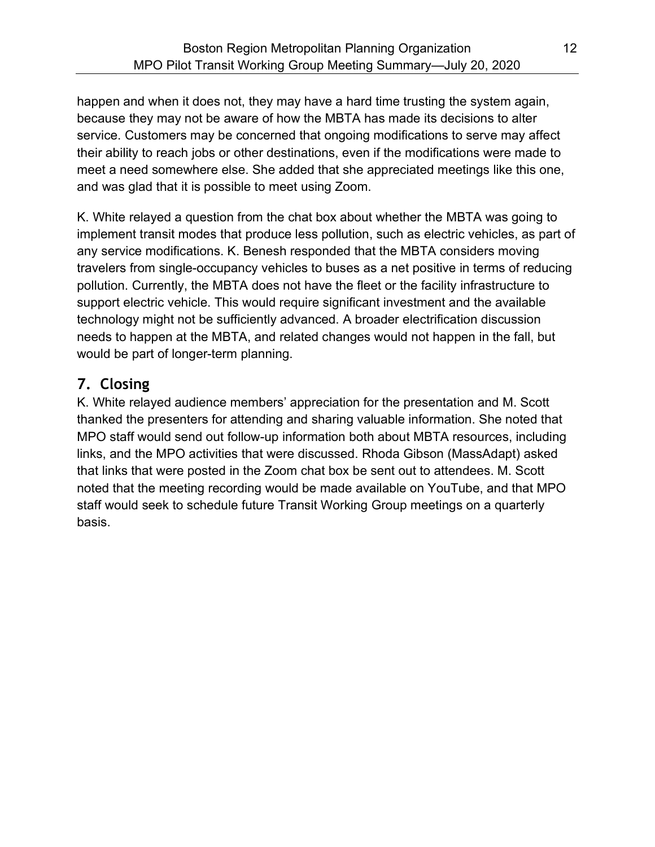happen and when it does not, they may have a hard time trusting the system again, because they may not be aware of how the MBTA has made its decisions to alter service. Customers may be concerned that ongoing modifications to serve may affect their ability to reach jobs or other destinations, even if the modifications were made to meet a need somewhere else. She added that she appreciated meetings like this one, and was glad that it is possible to meet using Zoom.

K. White relayed a question from the chat box about whether the MBTA was going to implement transit modes that produce less pollution, such as electric vehicles, as part of any service modifications. K. Benesh responded that the MBTA considers moving travelers from single-occupancy vehicles to buses as a net positive in terms of reducing pollution. Currently, the MBTA does not have the fleet or the facility infrastructure to support electric vehicle. This would require significant investment and the available technology might not be sufficiently advanced. A broader electrification discussion needs to happen at the MBTA, and related changes would not happen in the fall, but would be part of longer-term planning.

# 7. Closing

K. White relayed audience members' appreciation for the presentation and M. Scott thanked the presenters for attending and sharing valuable information. She noted that MPO staff would send out follow-up information both about MBTA resources, including links, and the MPO activities that were discussed. Rhoda Gibson (MassAdapt) asked that links that were posted in the Zoom chat box be sent out to attendees. M. Scott noted that the meeting recording would be made available on YouTube, and that MPO staff would seek to schedule future Transit Working Group meetings on a quarterly basis.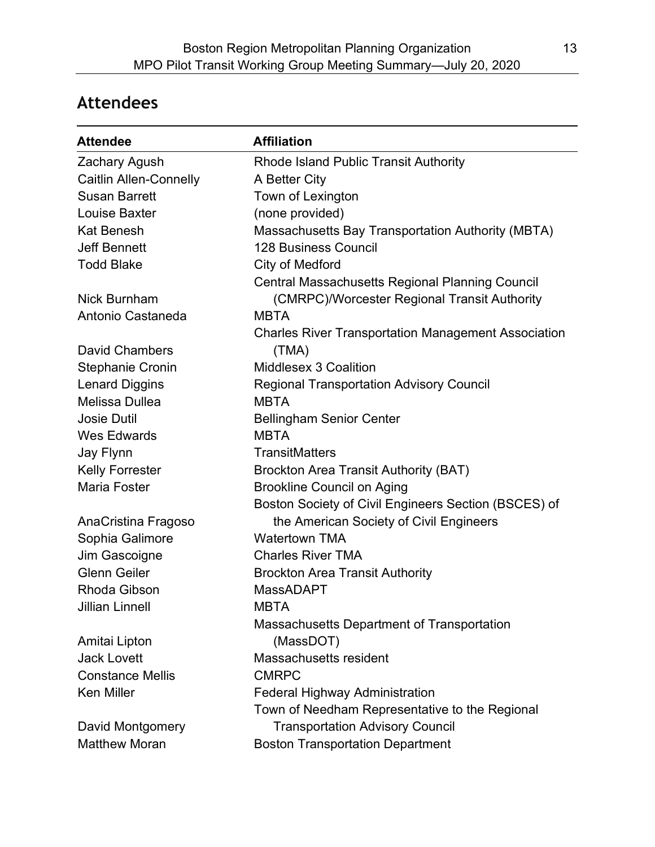# Attendees

| <b>Attendee</b>               | <b>Affiliation</b>                                         |
|-------------------------------|------------------------------------------------------------|
| Zachary Agush                 | <b>Rhode Island Public Transit Authority</b>               |
| <b>Caitlin Allen-Connelly</b> | A Better City                                              |
| <b>Susan Barrett</b>          | Town of Lexington                                          |
| Louise Baxter                 | (none provided)                                            |
| <b>Kat Benesh</b>             | Massachusetts Bay Transportation Authority (MBTA)          |
| <b>Jeff Bennett</b>           | <b>128 Business Council</b>                                |
| <b>Todd Blake</b>             | City of Medford                                            |
|                               | <b>Central Massachusetts Regional Planning Council</b>     |
| <b>Nick Burnham</b>           | (CMRPC)/Worcester Regional Transit Authority               |
| Antonio Castaneda             | <b>MBTA</b>                                                |
|                               | <b>Charles River Transportation Management Association</b> |
| <b>David Chambers</b>         | (TMA)                                                      |
| <b>Stephanie Cronin</b>       | Middlesex 3 Coalition                                      |
| <b>Lenard Diggins</b>         | <b>Regional Transportation Advisory Council</b>            |
| Melissa Dullea                | <b>MBTA</b>                                                |
| <b>Josie Dutil</b>            | <b>Bellingham Senior Center</b>                            |
| <b>Wes Edwards</b>            | <b>MBTA</b>                                                |
| Jay Flynn                     | <b>TransitMatters</b>                                      |
| <b>Kelly Forrester</b>        | <b>Brockton Area Transit Authority (BAT)</b>               |
| <b>Maria Foster</b>           | <b>Brookline Council on Aging</b>                          |
|                               | Boston Society of Civil Engineers Section (BSCES) of       |
| AnaCristina Fragoso           | the American Society of Civil Engineers                    |
| Sophia Galimore               | <b>Watertown TMA</b>                                       |
| Jim Gascoigne                 | <b>Charles River TMA</b>                                   |
| <b>Glenn Geiler</b>           | <b>Brockton Area Transit Authority</b>                     |
| Rhoda Gibson                  | <b>MassADAPT</b>                                           |
| <b>Jillian Linnell</b>        | MBTA                                                       |
|                               | Massachusetts Department of Transportation                 |
| Amitai Lipton                 | (MassDOT)                                                  |
| <b>Jack Lovett</b>            | Massachusetts resident                                     |
| <b>Constance Mellis</b>       | <b>CMRPC</b>                                               |
| <b>Ken Miller</b>             | <b>Federal Highway Administration</b>                      |
|                               | Town of Needham Representative to the Regional             |
| David Montgomery              | <b>Transportation Advisory Council</b>                     |
| <b>Matthew Moran</b>          | <b>Boston Transportation Department</b>                    |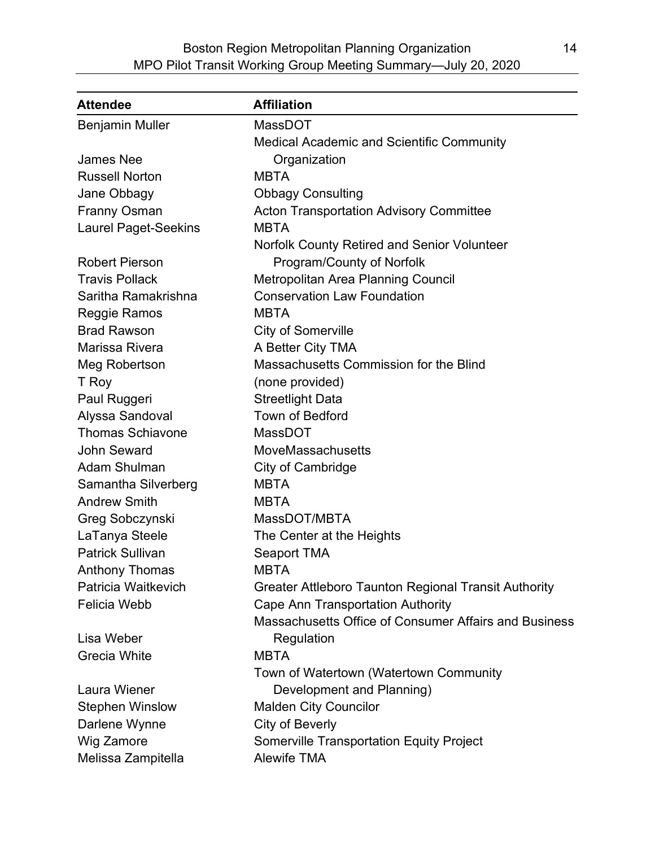| <b>Attendee</b>             | <b>Affiliation</b>                                    |
|-----------------------------|-------------------------------------------------------|
| <b>Benjamin Muller</b>      | <b>MassDOT</b>                                        |
|                             | <b>Medical Academic and Scientific Community</b>      |
| <b>James Nee</b>            | Organization                                          |
| <b>Russell Norton</b>       | <b>MBTA</b>                                           |
| Jane Obbagy                 | <b>Obbagy Consulting</b>                              |
| <b>Franny Osman</b>         | <b>Acton Transportation Advisory Committee</b>        |
| <b>Laurel Paget-Seekins</b> | <b>MBTA</b>                                           |
|                             | <b>Norfolk County Retired and Senior Volunteer</b>    |
| <b>Robert Pierson</b>       | Program/County of Norfolk                             |
| <b>Travis Pollack</b>       | Metropolitan Area Planning Council                    |
| Saritha Ramakrishna         | <b>Conservation Law Foundation</b>                    |
| Reggie Ramos                | <b>MBTA</b>                                           |
| <b>Brad Rawson</b>          | <b>City of Somerville</b>                             |
| Marissa Rivera              | A Better City TMA                                     |
| Meg Robertson               | Massachusetts Commission for the Blind                |
| T Roy                       | (none provided)                                       |
| Paul Ruggeri                | <b>Streetlight Data</b>                               |
| Alyssa Sandoval             | <b>Town of Bedford</b>                                |
| <b>Thomas Schiavone</b>     | <b>MassDOT</b>                                        |
| <b>John Seward</b>          | MoveMassachusetts                                     |
| <b>Adam Shulman</b>         | <b>City of Cambridge</b>                              |
| Samantha Silverberg         | <b>MBTA</b>                                           |
| <b>Andrew Smith</b>         | <b>MBTA</b>                                           |
| Greg Sobczynski             | MassDOT/MBTA                                          |
| LaTanya Steele              | The Center at the Heights                             |
| <b>Patrick Sullivan</b>     | <b>Seaport TMA</b>                                    |
| <b>Anthony Thomas</b>       | <b>MBTA</b>                                           |
| Patricia Waitkevich         | Greater Attleboro Taunton Regional Transit Authority  |
| <b>Felicia Webb</b>         | <b>Cape Ann Transportation Authority</b>              |
|                             | Massachusetts Office of Consumer Affairs and Business |
| Lisa Weber                  | Regulation                                            |
| <b>Grecia White</b>         | <b>MBTA</b>                                           |
|                             | Town of Watertown (Watertown Community                |
| Laura Wiener                | Development and Planning)                             |
| <b>Stephen Winslow</b>      | <b>Malden City Councilor</b>                          |
| Darlene Wynne               | City of Beverly                                       |
| Wig Zamore                  | <b>Somerville Transportation Equity Project</b>       |
| Melissa Zampitella          | <b>Alewife TMA</b>                                    |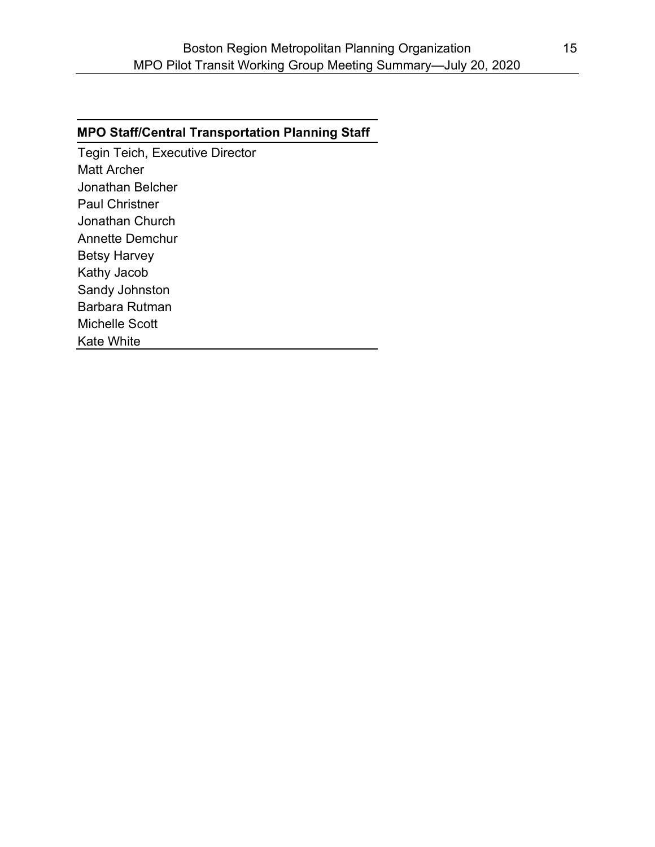#### MPO Staff/Central Transportation Planning Staff

Tegin Teich, Executive Director Matt Archer Jonathan Belcher Paul Christner Jonathan Church Annette Demchur Betsy Harvey Kathy Jacob Sandy Johnston Barbara Rutman Michelle Scott Kate White